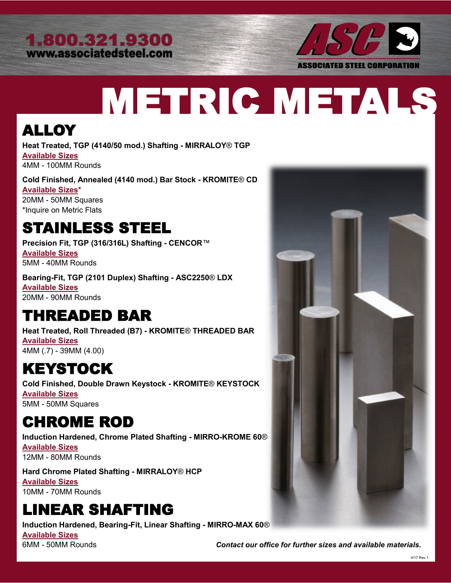



# METRIC METALS

#### ALLOY

**Heat Treated, TGP (4140/50 mod.) Shafting - MIRRALOY**® **TGP Available Sizes**  4MM - 100MM Rounds

**Cold Finished, Annealed (4140 mod.) Bar Stock - KROMITE**® **CD Available Sizes\***  20MM - 50MM Squares \*Inquire on Metric Flats

#### STAINLESS STEEL

**Precision Fit, TGP (316/316L) Shafting - CENCOR**™ **Available Sizes**  5MM - 40MM Rounds

**Bearing-Fit, TGP (2101 Duplex) Shafting - ASC2250**® **LDX Available Sizes**  20MM - 90MM Rounds

#### THREADED BAR

**Heat Treated, Roll Threaded (B7) - KROMITE**® **THREADED BAR Available Sizes**  4MM (.7) - 39MM (4.00)

#### KEYSTOCK

**Cold Finished, Double Drawn Keystock - KROMITE**® **KEYSTOCK Available Sizes**  5MM - 50MM Squares

### CHROME ROD

**Induction Hardened, Chrome Plated Shafting - MIRRO-KROME 60**® **Available Sizes**  12MM - 80MM Rounds

**Hard Chrome Plated Shafting - MIRRALOY**® **HCP Available Sizes**  10MM - 70MM Rounds

# LINEAR SHAFTING

**Induction Hardened, Bearing-Fit, Linear Shafting - MIRRO-MAX 60**®

**Available Sizes** 



6MM - 50MM Rounds *Contact our office for further sizes and available materials.*